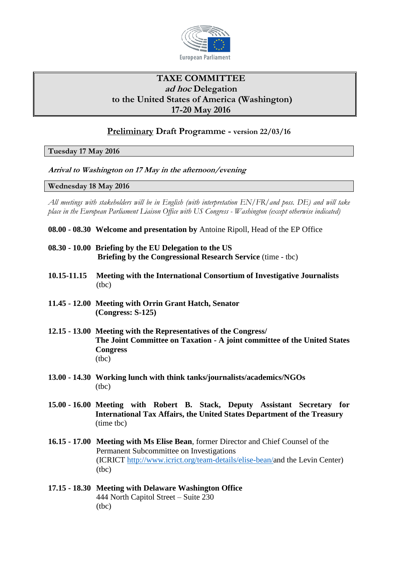

## **TAXE COMMITTEE ad hoc Delegation to the United States of America (Washington) 17-20 May 2016**

## **Preliminary Draft Programme - version 22/03/16**

**Tuesday 17 May 2016**

**Arrival to Washington on 17 May in the afternoon/evening** 

**Wednesday 18 May 2016**

*All meetings with stakeholders will be in English (with interpretation EN/FR/and poss. DE) and will take place in the European Parliament Liaison Office with US Congress - Washington (except otherwise indicated)*

- **08.00 - 08.30 Welcome and presentation by** Antoine Ripoll, Head of the EP Office
- **08.30 - 10.00 Briefing by the EU Delegation to the US Briefing by the Congressional Research Service** (time - tbc)
- **10.15-11.15 Meeting with the International Consortium of Investigative Journalists** (tbc)
- **11.45 - 12.00 Meeting with Orrin Grant Hatch, Senator (Congress: S-125)**
- **12.15 - 13.00 Meeting with the Representatives of the Congress/ The Joint Committee on Taxation - A joint committee of the United States Congress** (tbc)
- **13.00 - 14.30 Working lunch with think tanks/journalists/academics/NGOs** (tbc)
- **15.00 - 16.00 Meeting with Robert B. Stack, Deputy Assistant Secretary for International Tax Affairs, the United States Department of the Treasury**  (time tbc)
- **16.15 - 17.00 Meeting with Ms Elise Bean**, former Director and Chief Counsel of the Permanent Subcommittee on Investigations (ICRICT [http://www.icrict.org/team-details/elise-bean/a](http://www.icrict.org/team-details/elise-bean/)nd the Levin Center) (tbc)
- **17.15 - 18.30 Meeting with Delaware Washington Office** 444 North Capitol Street – Suite 230 (tbc)